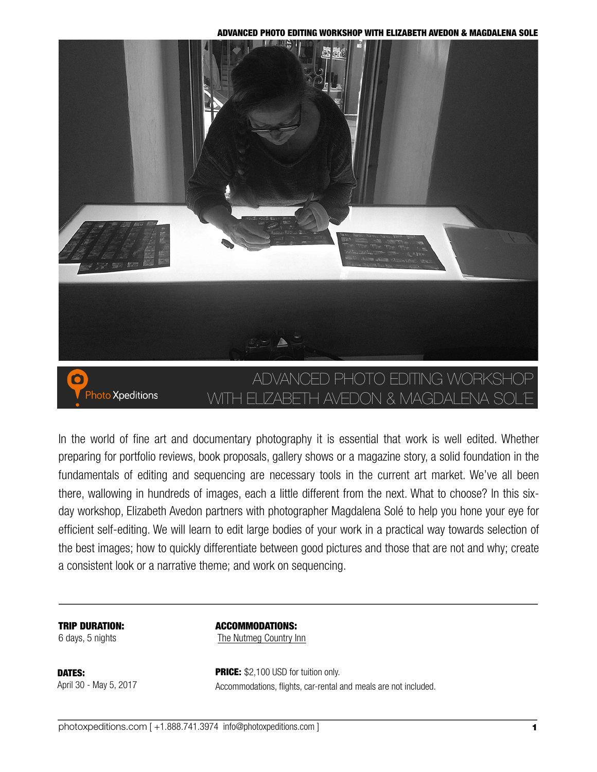ADVANCED PHOTO EDITING WORKSHOP WITH ELIZABETH AVEDON & MAGDALENA SOLE



# ADVANCED PHOTO EDITING WORKSHOP WITH ELIZABETH AVEDON & MAGDALENA SOLE **Photo Xpeditions**

In the world of fine art and documentary photography it is essential that work is well edited. Whether preparing for portfolio reviews, book proposals, gallery shows or a magazine story, a solid foundation in the fundamentals of editing and sequencing are necessary tools in the current art market. We've all been there, wallowing in hundreds of images, each a little different from the next. What to choose? In this sixday workshop, Elizabeth Avedon partners with photographer Magdalena Solé to help you hone your eye for efficient self-editing. We will learn to edit large bodies of your work in a practical way towards selection of the best images; how to quickly differentiate between good pictures and those that are not and why; create a consistent look or a narrative theme; and work on sequencing.

TRIP DURATION: 6 days, 5 nights

ACCOMMODATIONS: [The Nutmeg Country Inn](http://www.thenutmegvermont.com)

DATES: April 30 - May 5, 2017 **PRICE:** \$2,100 USD for tuition only. Accommodations, flights, car-rental and meals are not included.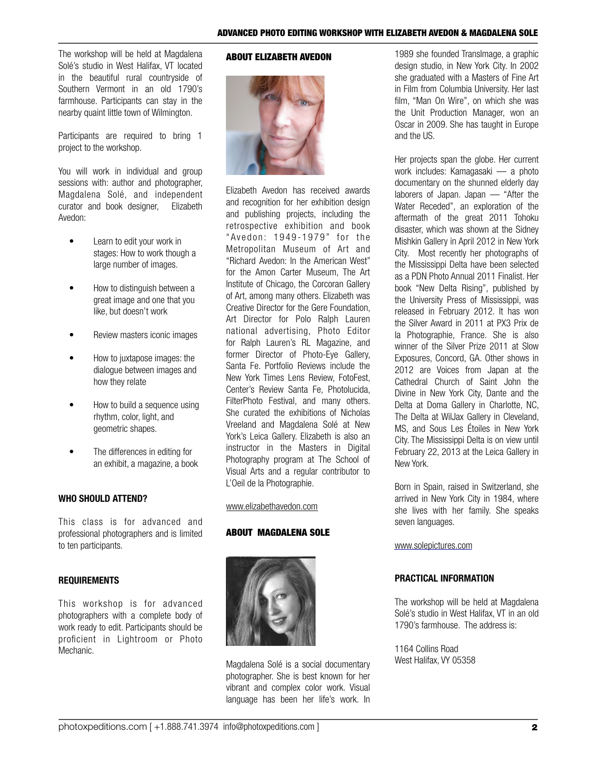The workshop will be held at Magdalena Solé's studio in West Halifax, VT located in the beautiful rural countryside of Southern Vermont in an old 1790's farmhouse. Participants can stay in the nearby quaint little town of Wilmington.

Participants are required to bring 1 project to the workshop.

You will work in individual and group sessions with: author and photographer, Magdalena Solé, and independent curator and book designer, Elizabeth Avedon:

- Learn to edit your work in stages: How to work though a large number of images.
- How to distinguish between a great image and one that you like, but doesn't work
- Review masters iconic images
- How to juxtapose images: the dialogue between images and how they relate
- How to build a sequence using rhythm, color, light, and geometric shapes.
- The differences in editing for an exhibit, a magazine, a book

## WHO SHOULD ATTEND?

This class is for advanced and professional photographers and is limited to ten participants.

### REQUIREMENTS

This workshop is for advanced photographers with a complete body of work ready to edit. Participants should be proficient in Lightroom or Photo Mechanic.

### ABOUT ELIZABETH AVEDON



Elizabeth Avedon has received awards and recognition for her exhibition design and publishing projects, including the retrospective exhibition and book "Avedon: 1949-1979" for the Metropolitan Museum of Art and "Richard Avedon: In the American West" for the Amon Carter Museum, The Art Institute of Chicago, the Corcoran Gallery of Art, among many others. Elizabeth was Creative Director for the Gere Foundation, Art Director for Polo Ralph Lauren national advertising, Photo Editor for Ralph Lauren's RL Magazine, and former Director of Photo-Eye Gallery, Santa Fe. Portfolio Reviews include the New York Times Lens Review, FotoFest, Center's Review Santa Fe, Photolucida, FilterPhoto Festival, and many others. She curated the exhibitions of Nicholas Vreeland and Magdalena Solé at New York's Leica Gallery. Elizabeth is also an instructor in the Masters in Digital Photography program at The School of Visual Arts and a regular contributor to L'Oeil de la Photographie.

[www.elizabethavedon.com](http://www.elizabethavedon.com)

### ABOUT MAGDALENA SOLE



Magdalena Solé is a social documentary photographer. She is best known for her vibrant and complex color work. Visual language has been her life's work. In

1989 she founded TransImage, a graphic design studio, in New York City. In 2002 she graduated with a Masters of Fine Art in Film from Columbia University. Her last film, "Man On Wire", on which she was the Unit Production Manager, won an Oscar in 2009. She has taught in Europe and the US.

Her projects span the globe. Her current work includes: Kamagasaki — a photo documentary on the shunned elderly day laborers of Japan. Japan — "After the Water Receded", an exploration of the aftermath of the great 2011 Tohoku disaster, which was shown at the Sidney Mishkin Gallery in April 2012 in New York City. Most recently her photographs of the Mississippi Delta have been selected as a PDN Photo Annual 2011 Finalist. Her book "New Delta Rising", published by the University Press of Mississippi, was released in February 2012. It has won the Silver Award in 2011 at PX3 Prix de la Photographie, France. She is also winner of the Silver Prize 2011 at Slow Exposures, Concord, GA. Other shows in 2012 are Voices from Japan at the Cathedral Church of Saint John the Divine in New York City, Dante and the Delta at Doma Gallery in Charlotte, NC, The Delta at WilJax Gallery in Cleveland, MS, and Sous Les Étoiles in New York City. The Mississippi Delta is on view until February 22, 2013 at the Leica Gallery in New York.

Born in Spain, raised in Switzerland, she arrived in New York City in 1984, where she lives with her family. She speaks seven languages.

#### [www.solepictures.com](http://www.solepictures.com)

### PRACTICAL INFORMATION

The workshop will be held at Magdalena Solé's studio in West Halifax, VT in an old 1790's farmhouse. The address is:

1164 Collins Road West Halifax, VY 05358